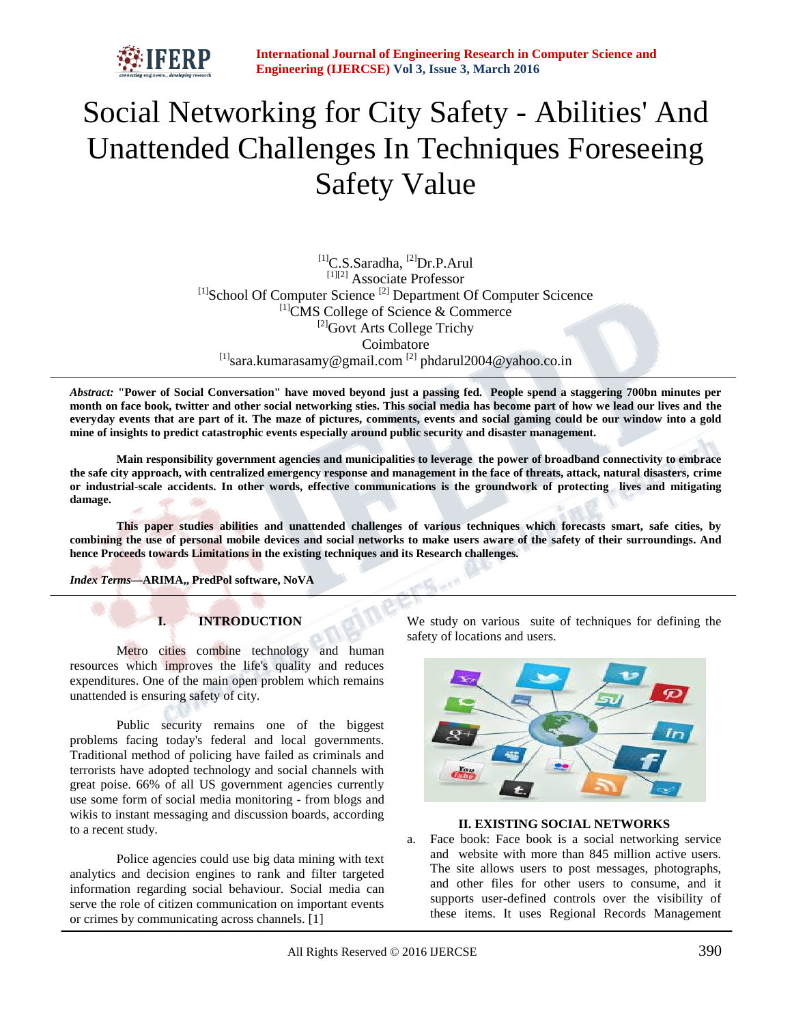

# Social Networking for City Safety - Abilities' And Unattended Challenges In Techniques Foreseeing Safety Value

<sup>[1]</sup>C.S.Saradha, <sup>[2]</sup>Dr.P.Arul [1][2] Associate Professor  $[1]$ School Of Computer Science  $[2]$  Department Of Computer Science [1]CMS College of Science & Commerce <sup>[2]</sup>Govt Arts College Trichy Coimbatore  $^{[1]}$ sara.kumarasamy@gmail.com  $^{[2]}$  phdarul2004@yahoo.co.in

*Abstract:* **"Power of Social Conversation" have moved beyond just a passing fed. People spend a staggering 700bn minutes per month on face book, twitter and other social networking sties. This social media has become part of how we lead our lives and the everyday events that are part of it. The maze of pictures, comments, events and social gaming could be our window into a gold mine of insights to predict catastrophic events especially around public security and disaster management.**

**Main responsibility government agencies and municipalities to leverage the power of broadband connectivity to embrace the safe city approach, with centralized emergency response and management in the face of threats, attack, natural disasters, crime or industrial-scale accidents. In other words, effective communications is the groundwork of protecting lives and mitigating damage.**

**This paper studies abilities and unattended challenges of various techniques which forecasts smart, safe cities, by combining the use of personal mobile devices and social networks to make users aware of the safety of their surroundings. And hence Proceeds towards Limitations in the existing techniques and its Research challenges.**

 $\mathbf{A} = \mathbf{A} \mathbf{B}$ 

*Index Terms***—ARIMA,, PredPol software, NoVA**

# **I. INTRODUCTION**

Metro cities combine technology and human resources which improves the life's quality and reduces expenditures. One of the main open problem which remains unattended is ensuring safety of city.

Public security remains one of the biggest problems facing today's federal and local governments. Traditional method of policing have failed as criminals and terrorists have adopted technology and social channels with great poise. 66% of all US government agencies currently use some form of social media monitoring - from blogs and wikis to instant messaging and discussion boards, according to a recent study.

Police agencies could use big data mining with text analytics and decision engines to rank and filter targeted information regarding social behaviour. Social media can serve the role of citizen communication on important events or crimes by communicating across channels. [1]

We study on various suite of techniques for defining the safety of locations and users.



## **II. EXISTING SOCIAL NETWORKS**

a. Face book: Face book is a social networking service and website with more than 845 million active users. The site allows users to post messages, photographs, and other files for other users to consume, and it supports user-defined controls over the visibility of these items. It uses Regional Records Management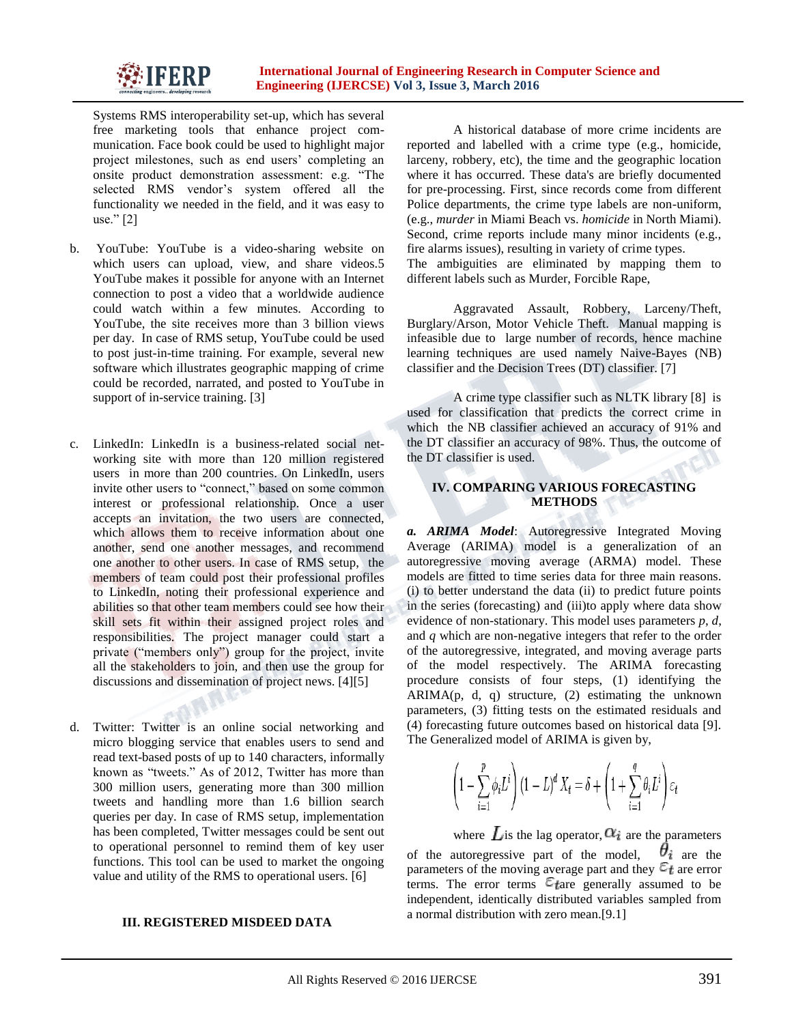

Systems RMS interoperability set-up, which has several free marketing tools that enhance project communication. Face book could be used to highlight major project milestones, such as end users' completing an onsite product demonstration assessment: e.g. "The selected RMS vendor's system offered all the functionality we needed in the field, and it was easy to use." [2]

- b. YouTube: YouTube is a video-sharing website on which users can upload, view, and share videos.5 YouTube makes it possible for anyone with an Internet connection to post a video that a worldwide audience could watch within a few minutes. According to YouTube, the site receives more than 3 billion views per day. In case of RMS setup, YouTube could be used to post just-in-time training. For example, several new software which illustrates geographic mapping of crime could be recorded, narrated, and posted to YouTube in support of in-service training. [3]
- c. LinkedIn: LinkedIn is a business-related social networking site with more than 120 million registered users in more than 200 countries. On LinkedIn, users invite other users to "connect," based on some common interest or professional relationship. Once a user accepts an invitation, the two users are connected, which allows them to receive information about one another, send one another messages, and recommend one another to other users. In case of RMS setup, the members of team could post their professional profiles to LinkedIn, noting their professional experience and abilities so that other team members could see how their skill sets fit within their assigned project roles and responsibilities. The project manager could start a private ("members only") group for the project, invite all the stakeholders to join, and then use the group for discussions and dissemination of project news. [4][5]
- d. Twitter: Twitter is an online social networking and micro blogging service that enables users to send and read text-based posts of up to 140 characters, informally known as "tweets." As of 2012, Twitter has more than 300 million users, generating more than 300 million tweets and handling more than 1.6 billion search queries per day. In case of RMS setup, implementation has been completed, Twitter messages could be sent out to operational personnel to remind them of key user functions. This tool can be used to market the ongoing value and utility of the RMS to operational users. [6]

### **III. REGISTERED MISDEED DATA**

A historical database of more crime incidents are reported and labelled with a crime type (e.g., homicide, larceny, robbery, etc), the time and the geographic location where it has occurred. These data's are briefly documented for pre-processing. First, since records come from different Police departments, the crime type labels are non-uniform, (e.g., *murder* in Miami Beach vs. *homicide* in North Miami). Second, crime reports include many minor incidents (e.g., fire alarms issues), resulting in variety of crime types. The ambiguities are eliminated by mapping them to different labels such as Murder, Forcible Rape,

Aggravated Assault, Robbery, Larceny/Theft, Burglary/Arson, Motor Vehicle Theft. Manual mapping is infeasible due to large number of records, hence machine learning techniques are used namely Naive-Bayes (NB) classifier and the Decision Trees (DT) classifier. [7]

A crime type classifier such as NLTK library [8] is used for classification that predicts the correct crime in which the NB classifier achieved an accuracy of 91% and the DT classifier an accuracy of 98%. Thus, the outcome of the DT classifier is used.

## **IV. COMPARING VARIOUS FORECASTING METHODS**

*a. ARIMA Model*: Autoregressive Integrated Moving Average (ARIMA) [model](http://en.wikipedia.org/wiki/Mathematical_model) is a generalization of an [autoregressive moving average](http://en.wikipedia.org/wiki/Autoregressive_moving_average) (ARMA) model. These models are fitted to [time series](http://en.wikipedia.org/wiki/Time_series) data for three main reasons. (i) to better understand the data (ii) to predict future points in the series [\(forecasting\)](http://en.wikipedia.org/wiki/Forecasting) and (iii)to apply where data show evidence o[f non-stationary.](http://en.wikipedia.org/wiki/Stationary_process) This model uses [parameters](http://en.wikipedia.org/wiki/Parameter) *p*, *d*, and *q* which are non-negative integers that refer to the order of the [autoregressive,](http://en.wikipedia.org/wiki/Autoregressive_model) integrated, and [moving average](http://en.wikipedia.org/wiki/Moving-average_model) parts of the model respectively. The ARIMA forecasting procedure consists of four steps, (1) identifying the  $ARIMA(p, d, q)$  structure,  $(2)$  estimating the unknown parameters, (3) fitting tests on the estimated residuals and (4) forecasting future outcomes based on historical data [9]. The Generalized model of ARIMA is given by,

$$
\left(1 - \sum_{i=1}^{p} \phi_i L^i\right) (1 - L)^d X_t = \delta + \left(1 + \sum_{i=1}^{q} \theta_i L^i\right) \varepsilon_t
$$

where Lis the lag operator,  $\alpha_i$  are the parameters of the autoregressive part of the model,  $\theta_i$  are the parameters of the moving average part and they  $\epsilon_t$  are error terms. The error terms  $\epsilon_{\text{frac}}$  generally assumed to be independent, identically distributed variables sampled from a normal distribution with zero mean.[9.1]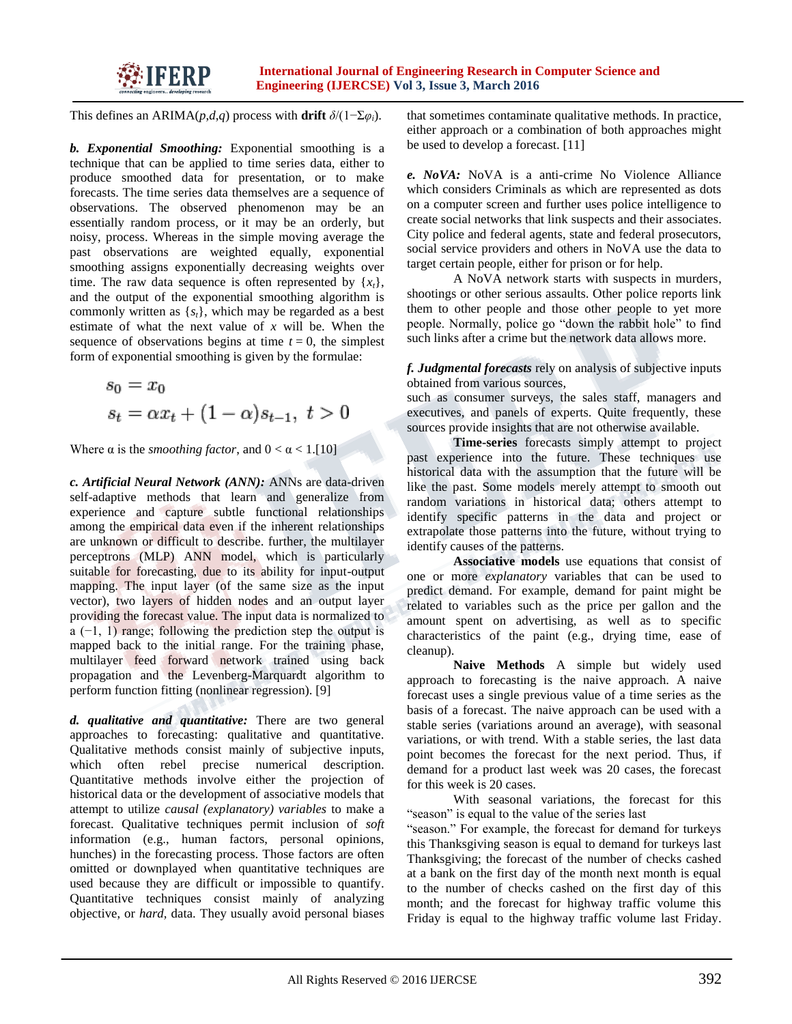

This defines an ARIMA(*p*,*d*,*q*) process with **drift**  $\delta/(1-\Sigma\varphi_i)$ .

*b. Exponential Smoothing:* Exponential smoothing is a technique that can be applied to [time series](http://en.wikipedia.org/wiki/Time_series) data, either to produce smoothed data for presentation, or to make forecasts. The time series data themselves are a sequence of observations. The observed phenomenon may be an essentially [random process,](http://en.wikipedia.org/wiki/Stochastic_process) or it may be an orderly, but [noisy,](http://en.wikipedia.org/wiki/Statistical_noise) process. Whereas in the [simple moving average](http://en.wikipedia.org/wiki/Simple_moving_average) the past observations are weighted equally, exponential smoothing assigns exponentially decreasing weights over time. The raw data sequence is often represented by  $\{x_t\}$ , and the output of the exponential smoothing algorithm is commonly written as {*st*}, which may be regarded as a best estimate of what the next value of *x* will be. When the sequence of observations begins at time  $t = 0$ , the simplest form of exponential smoothing is given by the formulae:

$$
s_0 = x_0
$$
  

$$
s_t = \alpha x_t + (1 - \alpha)s_{t-1}, \ t > 0
$$

Where  $\alpha$  is the *smoothing factor*, and  $0 < \alpha < 1$ . [10]

*c. Artificial Neural Network (ANN):* ANNs are data-driven self-adaptive methods that learn and generalize from experience and capture subtle functional relationships among the empirical data even if the inherent relationships are unknown or difficult to describe. further, the multilayer perceptrons (MLP) ANN model, which is particularly suitable for forecasting, due to its ability for input-output mapping. The input layer (of the same size as the input vector), two layers of hidden nodes and an output layer providing the forecast value. The input data is normalized to a (−1, 1) range; following the prediction step the output is mapped back to the initial range. For the training phase, multilayer feed forward network trained using back propagation and the Levenberg-Marquardt algorithm to perform function fitting (nonlinear regression). [9]

*d. qualitative and quantitative:* There are two general approaches to forecasting: qualitative and quantitative. Qualitative methods consist mainly of subjective inputs, which often rebel precise numerical description. Quantitative methods involve either the projection of historical data or the development of associative models that attempt to utilize *causal (explanatory) variables* to make a forecast. Qualitative techniques permit inclusion of *soft*  information (e.g., human factors, personal opinions, hunches) in the forecasting process. Those factors are often omitted or downplayed when quantitative techniques are used because they are difficult or impossible to quantify. Quantitative techniques consist mainly of analyzing objective, or *hard,* data. They usually avoid personal biases that sometimes contaminate qualitative methods. In practice, either approach or a combination of both approaches might be used to develop a forecast. [11]

*e. NoVA:* NoVA is a anti-crime No Violence Alliance which considers Criminals as which are represented as dots on a computer screen and further uses police intelligence to create social networks that link suspects and their associates. City police and federal agents, state and federal prosecutors, social service providers and others in NoVA use the data to target certain people, either for prison or for help.

A NoVA network starts with suspects in murders, shootings or other serious assaults. Other police reports link them to other people and those other people to yet more people. Normally, police go "down the rabbit hole" to find such links after a crime but the network data allows more.

*f. Judgmental forecasts* rely on analysis of subjective inputs obtained from various sources,

such as consumer surveys, the sales staff, managers and executives, and panels of experts. Quite frequently, these sources provide insights that are not otherwise available.

**Time-series** forecasts simply attempt to project past experience into the future. These techniques use historical data with the assumption that the future will be like the past. Some models merely attempt to smooth out random variations in historical data; others attempt to identify specific patterns in the data and project or extrapolate those patterns into the future, without trying to identify causes of the patterns.

**Associative models** use equations that consist of one or more *explanatory* variables that can be used to predict demand. For example, demand for paint might be related to variables such as the price per gallon and the amount spent on advertising, as well as to specific characteristics of the paint (e.g., drying time, ease of cleanup).

**Naive Methods** A simple but widely used approach to forecasting is the naive approach. A naive forecast uses a single previous value of a time series as the basis of a forecast. The naive approach can be used with a stable series (variations around an average), with seasonal variations, or with trend. With a stable series, the last data point becomes the forecast for the next period. Thus, if demand for a product last week was 20 cases, the forecast for this week is 20 cases.

With seasonal variations, the forecast for this "season" is equal to the value of the series last

"season." For example, the forecast for demand for turkeys this Thanksgiving season is equal to demand for turkeys last Thanksgiving; the forecast of the number of checks cashed at a bank on the first day of the month next month is equal to the number of checks cashed on the first day of this month; and the forecast for highway traffic volume this Friday is equal to the highway traffic volume last Friday.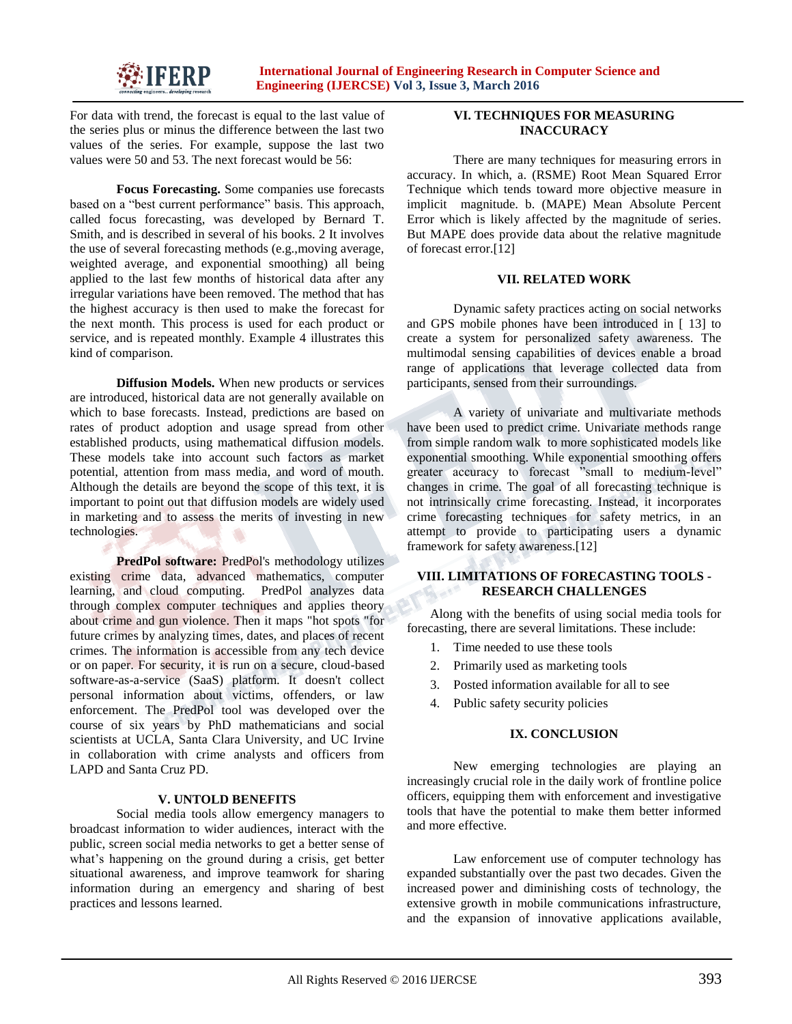

For data with trend, the forecast is equal to the last value of the series plus or minus the difference between the last two values of the series. For example, suppose the last two values were 50 and 53. The next forecast would be 56:

**Focus Forecasting.** Some companies use forecasts based on a "best current performance" basis. This approach, called focus forecasting, was developed by Bernard T. Smith, and is described in several of his books. 2 It involves the use of several forecasting methods (e.g.,moving average, weighted average, and exponential smoothing) all being applied to the last few months of historical data after any irregular variations have been removed. The method that has the highest accuracy is then used to make the forecast for the next month. This process is used for each product or service, and is repeated monthly. Example 4 illustrates this kind of comparison.

**Diffusion Models.** When new products or services are introduced, historical data are not generally available on which to base forecasts. Instead, predictions are based on rates of product adoption and usage spread from other established products, using mathematical diffusion models. These models take into account such factors as market potential, attention from mass media, and word of mouth. Although the details are beyond the scope of this text, it is important to point out that diffusion models are widely used in marketing and to assess the merits of investing in new technologies.

**PredPol software:** PredPol's methodology utilizes existing crime data, advanced mathematics, computer learning, and cloud computing. PredPol analyzes data through complex computer techniques and applies theory about crime and gun violence. Then it maps "hot spots "for future crimes by analyzing times, dates, and places of recent crimes. The information is accessible from any tech device or on paper. For security, it is run on a secure, cloud-based software-as-a-service (SaaS) platform. It doesn't collect personal information about victims, offenders, or law enforcement. The PredPol tool was developed over the course of six years by PhD mathematicians and social scientists at UCLA, Santa Clara University, and UC Irvine in collaboration with crime analysts and officers from LAPD and Santa Cruz PD.

## **V. UNTOLD BENEFITS**

Social media tools allow emergency managers to broadcast information to wider audiences, interact with the public, screen social media networks to get a better sense of what's happening on the ground during a crisis, get better situational awareness, and improve teamwork for sharing information during an emergency and sharing of best practices and lessons learned.

# **VI. TECHNIQUES FOR MEASURING INACCURACY**

There are many techniques for measuring errors in accuracy. In which, a. (RSME) Root Mean Squared Error Technique which tends toward more objective measure in implicit magnitude. b. (MAPE) Mean Absolute Percent Error which is likely affected by the magnitude of series. But MAPE does provide data about the relative magnitude of forecast error.[12]

### **VII. RELATED WORK**

Dynamic safety practices acting on social networks and GPS mobile phones have been introduced in [ 13] to create a system for personalized safety awareness. The multimodal sensing capabilities of devices enable a broad range of applications that leverage collected data from participants, sensed from their surroundings.

A variety of univariate and multivariate methods have been used to predict crime. Univariate methods range from simple random walk to more sophisticated models like exponential smoothing. While exponential smoothing offers greater accuracy to forecast "small to medium-level" changes in crime. The goal of all forecasting technique is not intrinsically crime forecasting. Instead, it incorporates crime forecasting techniques for safety metrics, in an attempt to provide to participating users a dynamic framework for safety awareness.[12]

## **VIII. LIMITATIONS OF FORECASTING TOOLS - RESEARCH CHALLENGES**

Along with the benefits of using social media tools for forecasting, there are several limitations. These include:

- 1. Time needed to use these tools
- 2. Primarily used as marketing tools
- 3. Posted information available for all to see
- 4. Public safety security policies

### **IX. CONCLUSION**

New emerging technologies are playing an increasingly crucial role in the daily work of frontline police officers, equipping them with enforcement and investigative tools that have the potential to make them better informed and more effective.

Law enforcement use of computer technology has expanded substantially over the past two decades. Given the increased power and diminishing costs of technology, the extensive growth in mobile communications infrastructure, and the expansion of innovative applications available,